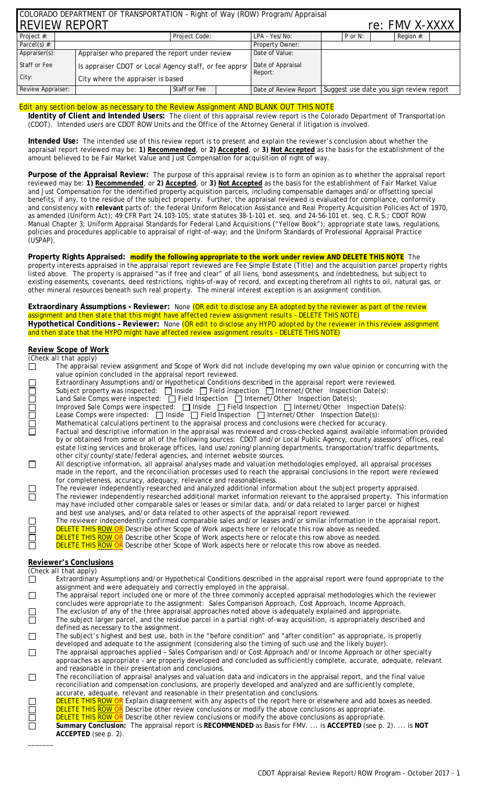| COLORADO DEPARTMENT OF TRANSPORTATION - Right of Way (ROW) Program/Appraisal |                                                        |                 |  |                              |           |                                                                 |  |  |
|------------------------------------------------------------------------------|--------------------------------------------------------|-----------------|--|------------------------------|-----------|-----------------------------------------------------------------|--|--|
| <b>IREVIEW REPORT</b><br>re: FMV X-XXXX                                      |                                                        |                 |  |                              |           |                                                                 |  |  |
| Project #:                                                                   |                                                        | Project Code:   |  | LPA - Yes/No:                | $P$ or N: | Region #:                                                       |  |  |
| Parcel(s) $#$ :                                                              |                                                        | Property Owner: |  |                              |           |                                                                 |  |  |
| Appraiser(s):                                                                | Appraiser who prepared the report under review         |                 |  | Date of Value:               |           |                                                                 |  |  |
| Staff or Fee                                                                 | Is appraiser CDOT or Local Agency staff, or fee apprsr |                 |  | Date of Appraisal<br>Report: |           |                                                                 |  |  |
| City:<br>City where the appraiser is based                                   |                                                        |                 |  |                              |           |                                                                 |  |  |
| Review Appraiser:                                                            | Staff or Fee                                           |                 |  |                              |           | Date of Review Report   Suggest use date you sign review report |  |  |

## Edit any section below as necessary to the Review Assignment AND BLANK OUT THIS NOTE

**Identity of Client and Intended Users:** The client of this appraisal review report is the Colorado Department of Transportation (CDOT). Intended users are CDOT ROW Units and the Office of the Attorney General if litigation is involved.

**Intended Use:** The intended use of this review report is to present and explain the reviewer's conclusion about whether the appraisal report reviewed may be: **1) Recommended**, or **2) Accepted**, or **3) Not Accepted** as the basis for the establishment of the amount believed to be Fair Market Value and Just Compensation for acquisition of right of way.

**Purpose of the Appraisal Review:** The purpose of this appraisal review is to form an opinion as to whether the appraisal report reviewed may be: **1) Recommended**, or **2) Accepted**, or **3) Not Accepted** as the basis for the establishment of Fair Market Value and Just Compensation for the identified property acquisition parcels, including compensable damages and/or offsetting special benefits, if any, to the residue of the subject property. Further, the appraisal reviewed is evaluated for compliance, conformity and consistency with **relevant** parts of: the federal Uniform Relocation Assistance and Real Property Acquisition Policies Act of 1970, as amended (Uniform Act); 49 CFR Part 24.103-105; state statutes 38-1-101 et. seq. and 24-56-101 et. seq. C.R.S.; CDOT ROW Manual Chapter 3; Uniform Appraisal Standards for Federal Land Acquisitions ("Yellow Book"); appropriate state laws, regulations, policies and procedures applicable to appraisal of right-of-way; and the Uniform Standards of Professional Appraisal Practice (USPAP).

**Property Rights Appraised: modify the following appropriate to the work under review AND DELETE THIS NOTE** The property interests appraised in the appraisal report reviewed are Fee Simple Estate (Title) and the acquisition parcel property rights listed above.The property is appraised "as if free and clear" of all liens, bond assessments, and indebtedness, but subject to existing easements, covenants, deed restrictions, rights-of-way of record, and excepting therefrom all rights to oil, natural gas, or other mineral resources beneath such real property. The mineral interest exception is an assignment condition.

**Extraordinary Assumptions – Reviewer:** None *(OR edit to disclose any EA adopted by the reviewer as part of the review assignment and then state that this might have affected review assignment results – DELETE THIS NOTE)* **Hypothetical Conditions – Reviewer:** None *(OR edit to disclose any HYPO adopted by the reviewer in this review assignment and then state that the HYPO might have affected review assignment results – DELETE THIS NOTE)*

# **Review Scope of Work**

**ACCEPTED** (see p. 2).

 $\overline{\phantom{a}}$ 

| (Check all that apply)<br>The appraisal review assignment and Scope of Work did not include developing my own value opinion or concurring with the                                                                                        |  |
|-------------------------------------------------------------------------------------------------------------------------------------------------------------------------------------------------------------------------------------------|--|
|                                                                                                                                                                                                                                           |  |
|                                                                                                                                                                                                                                           |  |
| value opinion concluded in the appraisal report reviewed.                                                                                                                                                                                 |  |
| Extraordinary Assumptions and/or Hypothetical Conditions described in the appraisal report were reviewed.                                                                                                                                 |  |
| Subject property was inspected: $\Box$ Inside $\Box$ Field inspection $\Box$ Internet/Other Inspection Date(s):                                                                                                                           |  |
| Land Sale Comps were inspected: □ Field Inspection □ Internet/Other Inspection Date(s):                                                                                                                                                   |  |
| Improved Sale Comps were inspected: $\Box$ Inside $\Box$ Field Inspection $\Box$ Internet/Other Inspection Date(s):                                                                                                                       |  |
| Lease Comps were inspected: [ Inside   Field Inspection   Internet/Other Inspection Date(s):                                                                                                                                              |  |
|                                                                                                                                                                                                                                           |  |
| <b>Control of</b><br>Mathematical calculations pertinent to the appraisal process and conclusions were checked for accuracy.                                                                                                              |  |
| Factual and descriptive information in the appraisal was reviewed and cross-checked against available information provided                                                                                                                |  |
| by or obtained from some or all of the following sources: CDOT and/or Local Public Agency, county assessors' offices, real                                                                                                                |  |
| estate listing services and brokerage offices, land use/zoning/planning departments, transportation/traffic departments,                                                                                                                  |  |
| other city/county/state/federal agencies, and internet website sources.                                                                                                                                                                   |  |
| $\Box$<br>All descriptive information, all appraisal analyses made and valuation methodologies employed, all appraisal processes                                                                                                          |  |
| made in the report, and the reconciliation processes used to reach the appraisal conclusions in the report were reviewed                                                                                                                  |  |
| for completeness, accuracy, adequacy, relevance and reasonableness.                                                                                                                                                                       |  |
| The reviewer independently researched and analyzed additional information about the subject property appraised.                                                                                                                           |  |
| $\Box$<br>The reviewer independently researched additional market information relevant to the appraised property. This information                                                                                                        |  |
| may have included other comparable sales or leases or similar data, and/or data related to larger parcel or highest                                                                                                                       |  |
|                                                                                                                                                                                                                                           |  |
|                                                                                                                                                                                                                                           |  |
| and best use analyses, and/or data related to other aspects of the appraisal report reviewed.                                                                                                                                             |  |
| The reviewer independently confirmed comparable sales and/or leases and/or similar information in the appraisal report.                                                                                                                   |  |
| <b>DELETE THIS ROW OR</b> Describe other Scope of Work aspects here or relocate this row above as needed.                                                                                                                                 |  |
| DELETE THIS ROW OR Describe other Scope of Work aspects here or relocate this row above as needed.                                                                                                                                        |  |
| 10<br>10<br>10<br>10<br>DELETE THIS ROW OR Describe other Scope of Work aspects here or relocate this row above as needed.                                                                                                                |  |
|                                                                                                                                                                                                                                           |  |
| <b>Reviewer's Conclusions</b>                                                                                                                                                                                                             |  |
| (Check all that apply)                                                                                                                                                                                                                    |  |
| Extraordinary Assumptions and/or Hypothetical Conditions described in the appraisal report were found appropriate to the<br>$\Box$                                                                                                        |  |
| assignment and were adequately and correctly employed in the appraisal.                                                                                                                                                                   |  |
| The appraisal report included one or more of the three commonly accepted appraisal methodologies which the reviewer<br>$\Box$                                                                                                             |  |
| concludes were appropriate to the assignment: Sales Comparison Approach, Cost Approach, Income Approach.                                                                                                                                  |  |
| The exclusion of any of the three appraisal approaches noted above is adequately explained and appropriate.                                                                                                                               |  |
| $\Box$<br>The subject larger parcel, and the residue parcel in a partial right-of-way acquisition, is appropriately described and                                                                                                         |  |
| defined as necessary to the assignment.                                                                                                                                                                                                   |  |
| $\Box$<br>The subject's highest and best use, both in the "before condition" and "after condition" as appropriate, is properly                                                                                                            |  |
| developed and adequate to the assignment (considering also the timing of such use and the likely buyer).                                                                                                                                  |  |
| The appraisal approaches applied - Sales Comparison and/or Cost Approach and/or Income Approach or other specialty                                                                                                                        |  |
| $\Box$                                                                                                                                                                                                                                    |  |
| approaches as appropriate - are properly developed and concluded as sufficiently complete, accurate, adequate, relevant                                                                                                                   |  |
| and reasonable in their presentation and conclusions.                                                                                                                                                                                     |  |
| $\Box$<br>The reconciliation of appraisal analyses and valuation data and indicators in the appraisal report, and the final value                                                                                                         |  |
| reconciliation and compensation conclusions, are properly developed and analyzed and are sufficiently complete,                                                                                                                           |  |
| accurate, adequate, relevant and reasonable in their presentation and conclusions.                                                                                                                                                        |  |
| DELETE THIS ROW OR Explain disagreement with any aspects of the report here or elsewhere and add boxes as needed.                                                                                                                         |  |
| H<br>H<br>H<br><b>DELETE THIS ROW OR</b> Describe other review conclusions or modify the above conclusions as appropriate.<br><b>DELETE THIS ROW OR</b> Describe other review conclusions or modify the above conclusions as appropriate. |  |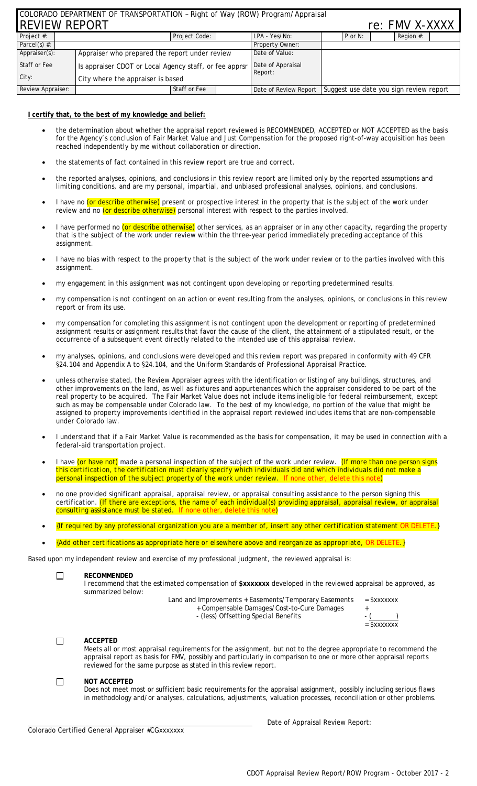| COLORADO DEPARTMENT OF TRANSPORTATION - Right of Way (ROW) Program/Appraisal |                                                        |               |  |                              |         |                                                                 |  |  |
|------------------------------------------------------------------------------|--------------------------------------------------------|---------------|--|------------------------------|---------|-----------------------------------------------------------------|--|--|
| <b>IREVIEW REPORT</b><br>re: FMV X-XXXX                                      |                                                        |               |  |                              |         |                                                                 |  |  |
| Project #:                                                                   |                                                        | Project Code: |  | LPA - Yes/No:                | P or N: | Region #:                                                       |  |  |
| Parcel(s) $#$ :                                                              |                                                        |               |  | Property Owner:              |         |                                                                 |  |  |
| Appraiser(s):                                                                | Appraiser who prepared the report under review         |               |  | Date of Value:               |         |                                                                 |  |  |
| Staff or Fee                                                                 | Is appraiser CDOT or Local Agency staff, or fee apprsr |               |  | Date of Appraisal<br>Report: |         |                                                                 |  |  |
| City:                                                                        | City where the appraiser is based                      |               |  |                              |         |                                                                 |  |  |
| Staff or Fee<br>Review Appraiser:                                            |                                                        |               |  |                              |         | Date of Review Report   Suggest use date you sign review report |  |  |

## **I certify that, to the best of my knowledge and belief:**

- the determination about whether the appraisal report reviewed is RECOMMENDED, ACCEPTED or NOT ACCEPTED as the basis for the Agency's conclusion of Fair Market Value and Just Compensation for the proposed right-of-way acquisition has been reached independently by me without collaboration or direction.
- the statements of fact contained in this review report are true and correct.
- the reported analyses, opinions, and conclusions in this review report are limited only by the reported assumptions and limiting conditions, and are my personal, impartial, and unbiased professional analyses, opinions, and conclusions.
- I have no (or describe otherwise) present or prospective interest in the property that is the subject of the work under review and no (or describe otherwise) personal interest with respect to the parties involved.
- I have performed no (or describe otherwise) other services, as an appraiser or in any other capacity, regarding the property that is the subject of the work under review within the three-year period immediately preceding acceptance of this assignment.
- I have no bias with respect to the property that is the subject of the work under review or to the parties involved with this assignment.
- my engagement in this assignment was not contingent upon developing or reporting predetermined results.
- my compensation is not contingent on an action or event resulting from the analyses, opinions, or conclusions in this review report or from its use.
- my compensation for completing this assignment is not contingent upon the development or reporting of predetermined assignment results or assignment results that favor the cause of the client, the attainment of a stipulated result, or the occurrence of a subsequent event directly related to the intended use of this appraisal review.
- my analyses, opinions, and conclusions were developed and this review report was prepared in conformity with 49 CFR §24.104 and Appendix A to §24.104, and the *Uniform Standards of Professional Appraisal Practice.*
- unless otherwise stated, the Review Appraiser agrees with the identification or listing of any buildings, structures, and other improvements on the land, as well as fixtures and appurtenances which the appraiser considered to be part of the real property to be acquired. The Fair Market Value does not include items ineligible for federal reimbursement, except such as may be compensable under Colorado law. To the best of my knowledge, no portion of the value that might be assigned to property improvements identified in the appraisal report reviewed includes items that are non-compensable under Colorado law.
- I understand that if a Fair Market Value is recommended as the basis for compensation, it may be used in connection with a federal-aid transportation project.
- I have (or have not) made a personal inspection of the subject of the work under review. *(If more than one person signs this certification, the certification must clearly specify which individuals did and which individuals did not make a personal inspection of the subject property of the work under review. If none other, delete this note)*
- no one provided significant appraisal, appraisal review, or appraisal consulting assistance to the person signing this certification. *(If there are exceptions, the name of each individual(s) providing appraisal, appraisal review, or appraisal consulting assistance must be stated. If none other, delete this note)*
- *{If required by any professional organization you are a member of, insert any other certification statement OR DELETE.}*
- *{Add other certifications as appropriate here or elsewhere above and reorganize as appropriate, OR DELETE.}*

Based upon my independent review and exercise of my professional judgment, the reviewed appraisal is:

#### $\Box$ **RECOMMENDED**

I recommend that the estimated compensation of **\$xxxxxxx** developed in the reviewed appraisal be approved, as summarized below:

Land and Improvements + Easements/Temporary Easements  $=$  \$xxxxxxx

- + Compensable Damages/Cost-to-Cure Damages +  $-$  (less) Offsetting Special Benefits  $-$  (
	- $=$   $\overline{\$$ xxxxxxx

#### **ACCEPTED**  $\Box$

Meets all or most appraisal requirements for the assignment, but not to the degree appropriate to recommend the appraisal report as basis for FMV, possibly and particularly in comparison to one or more other appraisal reports reviewed for the same purpose as stated in this review report.

#### $\overline{\phantom{a}}$ **NOT ACCEPTED**

Does not meet most or sufficient basic requirements for the appraisal assignment, possibly including serious flaws in methodology and/or analyses, calculations, adjustments, valuation processes, reconciliation or other problems.

Colorado Certified General Appraiser #CGxxxxxxx

Date of Appraisal Review Report: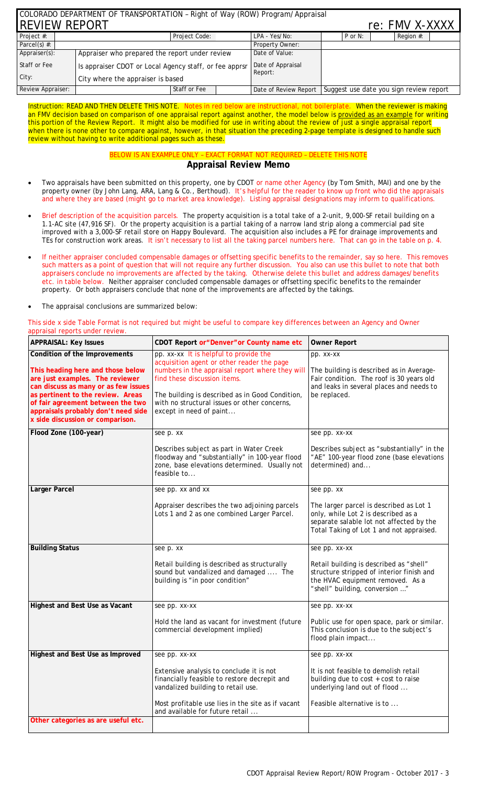| COLORADO DEPARTMENT OF TRANSPORTATION - Right of Way (ROW) Program/Appraisal |                                                        |                 |               |                              |                                                                 |  |  |  |
|------------------------------------------------------------------------------|--------------------------------------------------------|-----------------|---------------|------------------------------|-----------------------------------------------------------------|--|--|--|
| <b>IREVIEW REPORT</b><br>re: FMV X-XXXX                                      |                                                        |                 |               |                              |                                                                 |  |  |  |
| Project #:                                                                   |                                                        | Project Code:   | LPA - Yes/No: | $P$ or N:                    | Region #:                                                       |  |  |  |
| Parcel(s) $#$ :                                                              |                                                        | Property Owner: |               |                              |                                                                 |  |  |  |
| Appraiser(s):                                                                | Appraiser who prepared the report under review         |                 |               | Date of Value:               |                                                                 |  |  |  |
| Staff or Fee                                                                 | Is appraiser CDOT or Local Agency staff, or fee apprsr |                 |               | Date of Appraisal<br>Report: |                                                                 |  |  |  |
| City:                                                                        | City where the appraiser is based                      |                 |               |                              |                                                                 |  |  |  |
| Review Appraiser:                                                            |                                                        | Staff or Fee    |               |                              | Date of Review Report   Suggest use date you sign review report |  |  |  |

Instruction: READ AND THEN DELETE THIS NOTE. Notes in red below are instructional, not boilerplate. When the reviewer is making an FMV decision based on comparison of one appraisal report against another, the model below is provided as an example for writing this portion of the Review Report. It might also be modified for use in writing about the review of just a single appraisal report when there is none other to compare against, however, in that situation the preceding 2-page template is designed to handle such review without having to write additional pages such as these.

## BELOW IS AN EXAMPLE ONLY – EXACT FORMAT NOT REQUIRED – DELETE THIS NOTE **Appraisal Review Memo**

- Two appraisals have been submitted on this property, one by CDOT or name other Agency (by Tom Smith, MAI) and one by the property owner (by John Lang, ARA, Lang & Co., Berthoud). It's helpful for the reader to know up front who did the appraisals and where they are based (might go to market area knowledge). Listing appraisal designations may inform to qualifications.
- Brief description of the acquisition parcels. The property acquisition is a total take of a 2-unit, 9,000-SF retail building on a 1.1-AC site (47,916 SF). Or the property acquisition is a partial taking of a narrow land strip along a commercial pad site improved with a 3,000-SF retail store on Happy Boulevard. The acquisition also includes a PE for drainage improvements and TEs for construction work areas. It isn't necessary to list all the taking parcel numbers here. That can go in the table on p. 4.
- If neither appraiser concluded compensable damages or offsetting specific benefits to the remainder, say so here. This removes such matters as a point of question that will not require any further discussion. You also can use this bullet to note that both appraisers conclude no improvements are affected by the taking. Otherwise delete this bullet and address damages/benefits etc. in table below. Neither appraiser concluded compensable damages or offsetting specific benefits to the remainder property. Or both appraisers conclude that none of the improvements are affected by the takings.
- The appraisal conclusions are summarized below:

This side x side Table Format is not required but might be useful to compare key differences between an Agency and Owner appraisal reports under review.

| <b>APPRAISAL: Key Issues</b>                                                                                                                                                                                                                                                                       | CDOT Report or "Denver" or County name etc                                                                                                                                                                                                                                                            | <b>Owner Report</b>                                                                                                                                                                  |  |  |
|----------------------------------------------------------------------------------------------------------------------------------------------------------------------------------------------------------------------------------------------------------------------------------------------------|-------------------------------------------------------------------------------------------------------------------------------------------------------------------------------------------------------------------------------------------------------------------------------------------------------|--------------------------------------------------------------------------------------------------------------------------------------------------------------------------------------|--|--|
| Condition of the Improvements<br>This heading here and those below<br>are just examples. The reviewer<br>can discuss as many or as few issues<br>as pertinent to the review. Areas<br>of fair agreement between the two<br>appraisals probably don't need side<br>x side discussion or comparison. | pp. xx-xx It is helpful to provide the<br>acquisition agent or other reader the page<br>numbers in the appraisal report where they will<br>find these discussion items.<br>The building is described as in Good Condition,<br>with no structural issues or other concerns,<br>except in need of paint | pp. xx-xx<br>The building is described as in Average-<br>Fair condition. The roof is 30 years old<br>and leaks in several places and needs to<br>be replaced.                        |  |  |
| Flood Zone (100-year)                                                                                                                                                                                                                                                                              | see p. xx<br>Describes subject as part in Water Creek<br>floodway and "substantially" in 100-year flood<br>zone, base elevations determined. Usually not<br>feasible to                                                                                                                               | see pp. xx-xx<br>Describes subject as "substantially" in the<br>"AE" 100-year flood zone (base elevations<br>determined) and                                                         |  |  |
| <b>Larger Parcel</b>                                                                                                                                                                                                                                                                               | see pp. xx and xx<br>Appraiser describes the two adjoining parcels<br>Lots 1 and 2 as one combined Larger Parcel.                                                                                                                                                                                     | see pp. xx<br>The larger parcel is described as Lot 1<br>only, while Lot 2 is described as a<br>separate salable lot not affected by the<br>Total Taking of Lot 1 and not appraised. |  |  |
| <b>Building Status</b>                                                                                                                                                                                                                                                                             | see p. xx<br>Retail building is described as structurally<br>sound but vandalized and damaged  The<br>building is "in poor condition"                                                                                                                                                                 | see pp. xx-xx<br>Retail building is described as "shell"<br>structure stripped of interior finish and<br>the HVAC equipment removed. As a<br>"shell" building, conversion "          |  |  |
| Highest and Best Use as Vacant                                                                                                                                                                                                                                                                     | see pp. xx-xx<br>Hold the land as vacant for investment (future<br>commercial development implied)                                                                                                                                                                                                    | see pp. xx-xx<br>Public use for open space, park or similar.<br>This conclusion is due to the subject's<br>flood plain impact                                                        |  |  |
| Highest and Best Use as Improved<br>Other categories as are useful etc.                                                                                                                                                                                                                            | see pp. xx-xx<br>Extensive analysis to conclude it is not<br>financially feasible to restore decrepit and<br>vandalized building to retail use.<br>Most profitable use lies in the site as if vacant<br>and available for future retail                                                               | see pp. xx-xx<br>It is not feasible to demolish retail<br>building due to cost + cost to raise<br>underlying land out of flood<br>Feasible alternative is to                         |  |  |
|                                                                                                                                                                                                                                                                                                    |                                                                                                                                                                                                                                                                                                       |                                                                                                                                                                                      |  |  |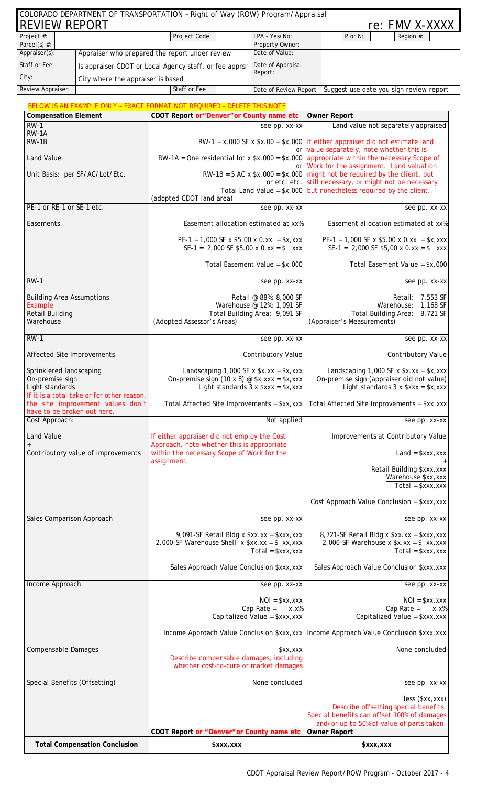| <b>REVIEW REPORT</b><br>Project #:                                                                                                               |                                    | Project Code:                                                                                                              | LPA - Yes/No:                                                                                                                       | $P$ or N:<br>Region #:                                                                                                        |  |  |  |
|--------------------------------------------------------------------------------------------------------------------------------------------------|------------------------------------|----------------------------------------------------------------------------------------------------------------------------|-------------------------------------------------------------------------------------------------------------------------------------|-------------------------------------------------------------------------------------------------------------------------------|--|--|--|
| Parcel(s) $#$ :                                                                                                                                  |                                    | Property Owner:                                                                                                            |                                                                                                                                     |                                                                                                                               |  |  |  |
| Appraiser(s):                                                                                                                                    |                                    | Appraiser who prepared the report under review                                                                             | Date of Value:                                                                                                                      |                                                                                                                               |  |  |  |
| Staff or Fee                                                                                                                                     |                                    | Is appraiser CDOT or Local Agency staff, or fee apprsr                                                                     | Date of Appraisal                                                                                                                   |                                                                                                                               |  |  |  |
| City:                                                                                                                                            |                                    |                                                                                                                            | Report:                                                                                                                             |                                                                                                                               |  |  |  |
|                                                                                                                                                  | City where the appraiser is based  |                                                                                                                            |                                                                                                                                     |                                                                                                                               |  |  |  |
| Review Appraiser:                                                                                                                                |                                    | Staff or Fee                                                                                                               |                                                                                                                                     | Date of Review Report   Suggest use date you sign review report                                                               |  |  |  |
|                                                                                                                                                  |                                    | <b>BELOW IS AN EXAMPLE ONLY - EXACT FORMAT NOT REQUIRED - DELETE THIS NOTE</b>                                             |                                                                                                                                     |                                                                                                                               |  |  |  |
| <b>Compensation Element</b>                                                                                                                      |                                    | CDOT Report or "Denver" or County name etc                                                                                 |                                                                                                                                     | <b>Owner Report</b>                                                                                                           |  |  |  |
| $RW-1$                                                                                                                                           |                                    |                                                                                                                            | see pp. xx-xx                                                                                                                       | Land value not separately appraised                                                                                           |  |  |  |
| RW-1A<br>$RW-1B$                                                                                                                                 |                                    |                                                                                                                            | $RW-1 = x,000$ SF x $x.00 = x,000$ If either appraiser did not estimate land                                                        |                                                                                                                               |  |  |  |
| Land Value                                                                                                                                       |                                    |                                                                                                                            | or value separately, note whether this is<br>$RW-1A = One residual lot x $x,000 = $x,000$ appropriate within the necessary Scope of |                                                                                                                               |  |  |  |
|                                                                                                                                                  | Unit Basis: per SF/AC/Lot/Etc.     |                                                                                                                            | Work for the assignment. Land valuation<br>or I<br>$RW-1B = 5 AC x $x,000 = $x,000$ might not be required by the client, but        |                                                                                                                               |  |  |  |
|                                                                                                                                                  |                                    | (adopted CDOT land area)                                                                                                   |                                                                                                                                     | or etc. etc. still necessary, or might not be necessary<br>Total Land Value = $x,000$ but nonetheless required by the client. |  |  |  |
| PE-1 or RE-1 or SE-1 etc.                                                                                                                        |                                    |                                                                                                                            | see pp. xx-xx                                                                                                                       | see pp. xx-xx                                                                                                                 |  |  |  |
| Easements                                                                                                                                        |                                    | Easement allocation estimated at xx%                                                                                       |                                                                                                                                     | Easement allocation estimated at xx%                                                                                          |  |  |  |
|                                                                                                                                                  |                                    | $PE-1 = 1,000$ SF x \$5.00 x 0.xx = \$x,xxx                                                                                |                                                                                                                                     | $PE-1 = 1,000$ SF x \$5.00 x 0.xx = \$x,xxx                                                                                   |  |  |  |
|                                                                                                                                                  |                                    | SE-1 = 2,000 SF \$5.00 x 0.xx = \$ xxx                                                                                     |                                                                                                                                     | SE-1 = 2,000 SF \$5,00 x 0.xx = \$ xxx                                                                                        |  |  |  |
| $RW-1$                                                                                                                                           |                                    |                                                                                                                            | Total Easement Value = $x,000$                                                                                                      | Total Easement Value = $x,000$                                                                                                |  |  |  |
|                                                                                                                                                  |                                    |                                                                                                                            | see pp. xx-xx                                                                                                                       | see pp. xx-xx                                                                                                                 |  |  |  |
| <b>Building Area Assumptions</b>                                                                                                                 |                                    |                                                                                                                            | Retail @ 88%: 8,000 SF                                                                                                              | Retail: 7,553 SF                                                                                                              |  |  |  |
| Example                                                                                                                                          |                                    |                                                                                                                            | Warehouse @ 12%: 1,091 SF                                                                                                           | Warehouse: 1,168 SF                                                                                                           |  |  |  |
| <b>Retail Building</b><br>Warehouse                                                                                                              |                                    | Total Building Area: 9,091 SF<br>Total Building Area: 8,721 SF<br>(Adopted Assessor's Areas)<br>(Appraiser's Measurements) |                                                                                                                                     |                                                                                                                               |  |  |  |
| $RW-1$                                                                                                                                           |                                    |                                                                                                                            | see pp. xx-xx                                                                                                                       | see pp. xx-xx                                                                                                                 |  |  |  |
| Affected Site Improvements                                                                                                                       |                                    |                                                                                                                            | Contributory Value                                                                                                                  | Contributory Value                                                                                                            |  |  |  |
| Sprinklered landscaping<br>On-premise sign<br>Light standards<br>If it is a total take or for other reason,<br>the site improvement values don't |                                    | Landscaping $1,000$ SF x $x \cdot x = x,$ xxx                                                                              |                                                                                                                                     | Landscaping $1,000$ SF x $x \cdot x = x,$ xxx                                                                                 |  |  |  |
|                                                                                                                                                  |                                    | On-premise sign (10 x 8) @ $x, x = x, x = x$                                                                               | Light standards $3 \times$ \$xxx = \$x, xxx                                                                                         | On-premise sign (appraiser did not value)<br>Light standards $3 \times$ \$xxx = \$x, xxx                                      |  |  |  |
|                                                                                                                                                  |                                    | Total Affected Site Improvements = \$xx, xxx                                                                               |                                                                                                                                     | Total Affected Site Improvements = \$xx, xxx                                                                                  |  |  |  |
| have to be broken out here.<br>Cost Approach:                                                                                                    |                                    |                                                                                                                            | Not applied                                                                                                                         | see pp. xx-xx                                                                                                                 |  |  |  |
|                                                                                                                                                  |                                    |                                                                                                                            |                                                                                                                                     |                                                                                                                               |  |  |  |
| Land Value                                                                                                                                       |                                    | If either appraiser did not employ the Cost<br>Approach, note whether this is appropriate                                  |                                                                                                                                     | Improvements at Contributory Value                                                                                            |  |  |  |
|                                                                                                                                                  | Contributory value of improvements | within the necessary Scope of Work for the                                                                                 |                                                                                                                                     | $Land = $xxx,xxx$                                                                                                             |  |  |  |
|                                                                                                                                                  |                                    | assignment.                                                                                                                |                                                                                                                                     |                                                                                                                               |  |  |  |
|                                                                                                                                                  |                                    |                                                                                                                            |                                                                                                                                     | Retail Building \$xxx, xxx<br>Warehouse \$xx, xxx                                                                             |  |  |  |
|                                                                                                                                                  |                                    |                                                                                                                            |                                                                                                                                     | $Total = $xxx,xxx$<br>Cost Approach Value Conclusion = \$xxx, xxx                                                             |  |  |  |
| Sales Comparison Approach                                                                                                                        |                                    |                                                                                                                            |                                                                                                                                     | see pp. xx-xx                                                                                                                 |  |  |  |
|                                                                                                                                                  |                                    |                                                                                                                            | see pp. xx-xx                                                                                                                       |                                                                                                                               |  |  |  |
|                                                                                                                                                  |                                    | 9,091-SF Retail Bldg x \$xx.xx = \$xxx,xxx                                                                                 |                                                                                                                                     | 8,721-SF Retail Bldg x \$xx.xx = \$xxx,xxx                                                                                    |  |  |  |
|                                                                                                                                                  |                                    | $2,000-SF$ Warehouse Shell x \$xx.xx = \$ xx,xxx                                                                           | $Total = $xxx,xxx$                                                                                                                  | $2,000$ -SF Warehouse x $x \cdot x = 1$ xx, xxx<br>$Total = $xxx,xxx$                                                         |  |  |  |
|                                                                                                                                                  |                                    | Sales Approach Value Conclusion \$xxx, xxx                                                                                 |                                                                                                                                     | Sales Approach Value Conclusion \$xxx, xxx                                                                                    |  |  |  |
| Income Approach                                                                                                                                  |                                    |                                                                                                                            | see pp. xx-xx                                                                                                                       |                                                                                                                               |  |  |  |
|                                                                                                                                                  |                                    |                                                                                                                            | $NOI = $xx,xxx$                                                                                                                     | $NOI = $xx,xxx$                                                                                                               |  |  |  |
|                                                                                                                                                  |                                    | Cap Rate $=$                                                                                                               | Cap Rate $=$<br>x.x%                                                                                                                |                                                                                                                               |  |  |  |
|                                                                                                                                                  |                                    | Capitalized Value = \$xxx, xxx                                                                                             | Capitalized Value = \$xxx, xxx                                                                                                      |                                                                                                                               |  |  |  |
|                                                                                                                                                  |                                    |                                                                                                                            |                                                                                                                                     | Income Approach Value Conclusion \$xxx, xxx   Income Approach Value Conclusion \$xxx, xxx                                     |  |  |  |
| <b>Compensable Damages</b>                                                                                                                       |                                    | Describe compensable damages, including<br>whether cost-to-cure or market damages                                          | \$xx,xxx                                                                                                                            | None concluded                                                                                                                |  |  |  |
| Special Benefits (Offsetting)                                                                                                                    |                                    |                                                                                                                            | None concluded                                                                                                                      | see pp. xx-xx                                                                                                                 |  |  |  |
|                                                                                                                                                  |                                    |                                                                                                                            |                                                                                                                                     |                                                                                                                               |  |  |  |
|                                                                                                                                                  |                                    |                                                                                                                            |                                                                                                                                     | less (\$xx, xxx)<br>Describe offsetting special benefits.                                                                     |  |  |  |
|                                                                                                                                                  |                                    |                                                                                                                            |                                                                                                                                     |                                                                                                                               |  |  |  |
|                                                                                                                                                  |                                    | CDOT Report or "Denver" or County name etc                                                                                 |                                                                                                                                     | Special benefits can offset 100% of damages<br>and/or up to 50% of value of parts taken.<br><b>Owner Report</b>               |  |  |  |